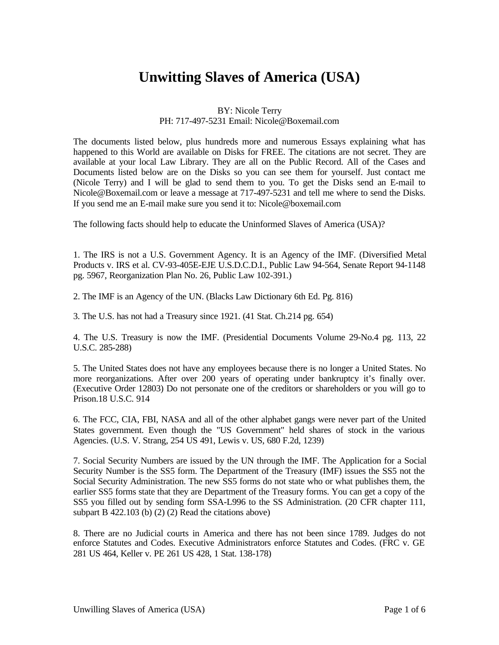## **Unwitting Slaves of America (USA)**

BY: Nicole Terry

## PH: 717-497-5231 Email: Nicole@Boxemail.com

The documents listed below, plus hundreds more and numerous Essays explaining what has happened to this World are available on Disks for FREE. The citations are not secret. They are available at your local Law Library. They are all on the Public Record. All of the Cases and Documents listed below are on the Disks so you can see them for yourself. Just contact me (Nicole Terry) and I will be glad to send them to you. To get the Disks send an E-mail to Nicole@Boxemail.com or leave a message at 717-497-5231 and tell me where to send the Disks. If you send me an E-mail make sure you send it to: Nicole@boxemail.com

The following facts should help to educate the Uninformed Slaves of America (USA)?

1. The IRS is not a U.S. Government Agency. It is an Agency of the IMF. (Diversified Metal Products v. IRS et al. CV-93-405E-EJE U.S.D.C.D.I., Public Law 94-564, Senate Report 94-1148 pg. 5967, Reorganization Plan No. 26, Public Law 102-391.)

2. The IMF is an Agency of the UN. (Blacks Law Dictionary 6th Ed. Pg. 816)

3. The U.S. has not had a Treasury since 1921. (41 Stat. Ch.214 pg. 654)

4. The U.S. Treasury is now the IMF. (Presidential Documents Volume 29-No.4 pg. 113, 22 U.S.C. 285-288)

5. The United States does not have any employees because there is no longer a United States. No more reorganizations. After over 200 years of operating under bankruptcy it's finally over. (Executive Order 12803) Do not personate one of the creditors or shareholders or you will go to Prison.18 U.S.C. 914

6. The FCC, CIA, FBI, NASA and all of the other alphabet gangs were never part of the United States government. Even though the "US Government" held shares of stock in the various Agencies. (U.S. V. Strang, 254 US 491, Lewis v. US, 680 F.2d, 1239)

7. Social Security Numbers are issued by the UN through the IMF. The Application for a Social Security Number is the SS5 form. The Department of the Treasury (IMF) issues the SS5 not the Social Security Administration. The new SS5 forms do not state who or what publishes them, the earlier SS5 forms state that they are Department of the Treasury forms. You can get a copy of the SS5 you filled out by sending form SSA-L996 to the SS Administration. (20 CFR chapter 111, subpart B 422.103 (b) (2) (2) Read the citations above)

8. There are no Judicial courts in America and there has not been since 1789. Judges do not enforce Statutes and Codes. Executive Administrators enforce Statutes and Codes. (FRC v. GE 281 US 464, Keller v. PE 261 US 428, 1 Stat. 138-178)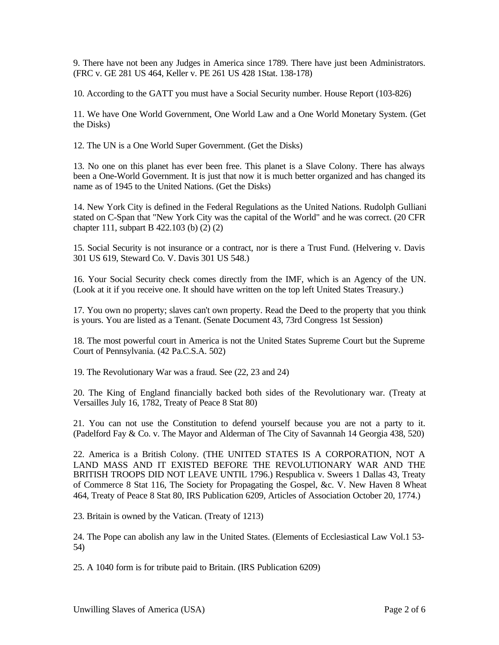9. There have not been any Judges in America since 1789. There have just been Administrators. (FRC v. GE 281 US 464, Keller v. PE 261 US 428 1Stat. 138-178)

10. According to the GATT you must have a Social Security number. House Report (103-826)

11. We have One World Government, One World Law and a One World Monetary System. (Get the Disks)

12. The UN is a One World Super Government. (Get the Disks)

13. No one on this planet has ever been free. This planet is a Slave Colony. There has always been a One-World Government. It is just that now it is much better organized and has changed its name as of 1945 to the United Nations. (Get the Disks)

14. New York City is defined in the Federal Regulations as the United Nations. Rudolph Gulliani stated on C-Span that "New York City was the capital of the World" and he was correct. (20 CFR chapter 111, subpart B 422.103 (b) (2) (2)

15. Social Security is not insurance or a contract, nor is there a Trust Fund. (Helvering v. Davis 301 US 619, Steward Co. V. Davis 301 US 548.)

16. Your Social Security check comes directly from the IMF, which is an Agency of the UN. (Look at it if you receive one. It should have written on the top left United States Treasury.)

17. You own no property; slaves can't own property. Read the Deed to the property that you think is yours. You are listed as a Tenant. (Senate Document 43, 73rd Congress 1st Session)

18. The most powerful court in America is not the United States Supreme Court but the Supreme Court of Pennsylvania. (42 Pa.C.S.A. 502)

19. The Revolutionary War was a fraud. See (22, 23 and 24)

20. The King of England financially backed both sides of the Revolutionary war. (Treaty at Versailles July 16, 1782, Treaty of Peace 8 Stat 80)

21. You can not use the Constitution to defend yourself because you are not a party to it. (Padelford Fay & Co. v. The Mayor and Alderman of The City of Savannah 14 Georgia 438, 520)

22. America is a British Colony. (THE UNITED STATES IS A CORPORATION, NOT A LAND MASS AND IT EXISTED BEFORE THE REVOLUTIONARY WAR AND THE BRITISH TROOPS DID NOT LEAVE UNTIL 1796.) Respublica v. Sweers 1 Dallas 43, Treaty of Commerce 8 Stat 116, The Society for Propagating the Gospel, &c. V. New Haven 8 Wheat 464, Treaty of Peace 8 Stat 80, IRS Publication 6209, Articles of Association October 20, 1774.)

23. Britain is owned by the Vatican. (Treaty of 1213)

24. The Pope can abolish any law in the United States. (Elements of Ecclesiastical Law Vol.1 53- 54)

25. A 1040 form is for tribute paid to Britain. (IRS Publication 6209)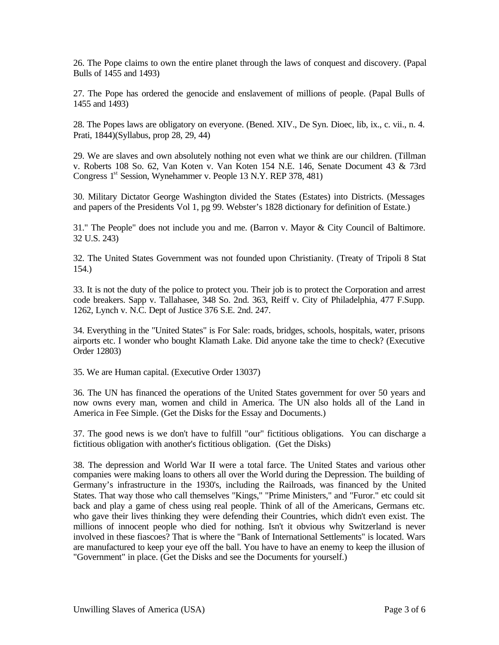26. The Pope claims to own the entire planet through the laws of conquest and discovery. (Papal Bulls of 1455 and 1493)

27. The Pope has ordered the genocide and enslavement of millions of people. (Papal Bulls of 1455 and 1493)

28. The Popes laws are obligatory on everyone. (Bened. XIV., De Syn. Dioec, lib, ix., c. vii., n. 4. Prati, 1844)(Syllabus, prop 28, 29, 44)

29. We are slaves and own absolutely nothing not even what we think are our children. (Tillman v. Roberts 108 So. 62, Van Koten v. Van Koten 154 N.E. 146, Senate Document 43 & 73rd Congress 1<sup>st</sup> Session, Wynehammer v. People 13 N.Y. REP 378, 481)

30. Military Dictator George Washington divided the States (Estates) into Districts. (Messages and papers of the Presidents Vol 1, pg 99. Webster's 1828 dictionary for definition of Estate.)

31." The People" does not include you and me. (Barron v. Mayor & City Council of Baltimore. 32 U.S. 243)

32. The United States Government was not founded upon Christianity. (Treaty of Tripoli 8 Stat 154.)

33. It is not the duty of the police to protect you. Their job is to protect the Corporation and arrest code breakers. Sapp v. Tallahasee, 348 So. 2nd. 363, Reiff v. City of Philadelphia, 477 F.Supp. 1262, Lynch v. N.C. Dept of Justice 376 S.E. 2nd. 247.

34. Everything in the "United States" is For Sale: roads, bridges, schools, hospitals, water, prisons airports etc. I wonder who bought Klamath Lake. Did anyone take the time to check? (Executive Order 12803)

35. We are Human capital. (Executive Order 13037)

36. The UN has financed the operations of the United States government for over 50 years and now owns every man, women and child in America. The UN also holds all of the Land in America in Fee Simple. (Get the Disks for the Essay and Documents.)

37. The good news is we don't have to fulfill "our" fictitious obligations. You can discharge a fictitious obligation with another's fictitious obligation. (Get the Disks)

38. The depression and World War II were a total farce. The United States and various other companies were making loans to others all over the World during the Depression. The building of Germany's infrastructure in the 1930's, including the Railroads, was financed by the United States. That way those who call themselves "Kings," "Prime Ministers," and "Furor." etc could sit back and play a game of chess using real people. Think of all of the Americans, Germans etc. who gave their lives thinking they were defending their Countries, which didn't even exist. The millions of innocent people who died for nothing. Isn't it obvious why Switzerland is never involved in these fiascoes? That is where the "Bank of International Settlements" is located. Wars are manufactured to keep your eye off the ball. You have to have an enemy to keep the illusion of "Government" in place. (Get the Disks and see the Documents for yourself.)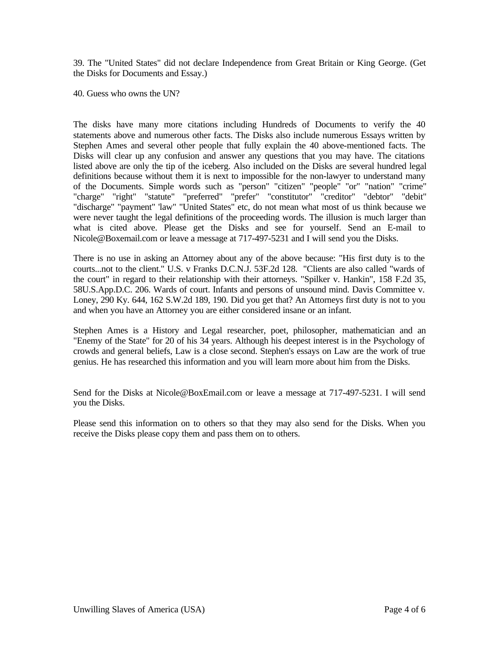39. The "United States" did not declare Independence from Great Britain or King George. (Get the Disks for Documents and Essay.)

40. Guess who owns the UN?

The disks have many more citations including Hundreds of Documents to verify the 40 statements above and numerous other facts. The Disks also include numerous Essays written by Stephen Ames and several other people that fully explain the 40 above-mentioned facts. The Disks will clear up any confusion and answer any questions that you may have. The citations listed above are only the tip of the iceberg. Also included on the Disks are several hundred legal definitions because without them it is next to impossible for the non-lawyer to understand many of the Documents. Simple words such as "person" "citizen" "people" "or" "nation" "crime" "charge" "right" "statute" "preferred" "prefer" "constitutor" "creditor" "debtor" "debit" "discharge" "payment" 'law" "United States" etc, do not mean what most of us think because we were never taught the legal definitions of the proceeding words. The illusion is much larger than what is cited above. Please get the Disks and see for yourself. Send an E-mail to Nicole@Boxemail.com or leave a message at 717-497-5231 and I will send you the Disks.

There is no use in asking an Attorney about any of the above because: "His first duty is to the courts...not to the client." U.S. v Franks D.C.N.J. 53F.2d 128. "Clients are also called "wards of the court" in regard to their relationship with their attorneys. "Spilker v. Hankin", 158 F.2d 35, 58U.S.App.D.C. 206. Wards of court. Infants and persons of unsound mind. Davis Committee v. Loney, 290 Ky. 644, 162 S.W.2d 189, 190. Did you get that? An Attorneys first duty is not to you and when you have an Attorney you are either considered insane or an infant.

Stephen Ames is a History and Legal researcher, poet, philosopher, mathematician and an "Enemy of the State" for 20 of his 34 years. Although his deepest interest is in the Psychology of crowds and general beliefs, Law is a close second. Stephen's essays on Law are the work of true genius. He has researched this information and you will learn more about him from the Disks.

Send for the Disks at Nicole@BoxEmail.com or leave a message at 717-497-5231. I will send you the Disks.

Please send this information on to others so that they may also send for the Disks. When you receive the Disks please copy them and pass them on to others.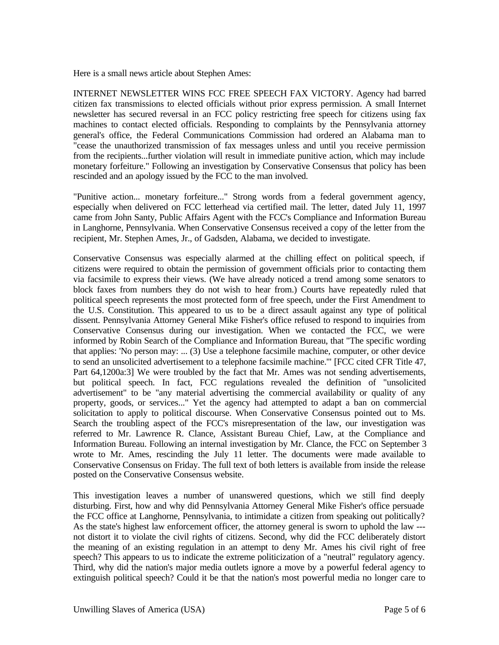Here is a small news article about Stephen Ames:

INTERNET NEWSLETTER WINS FCC FREE SPEECH FAX VICTORY. Agency had barred citizen fax transmissions to elected officials without prior express permission. A small Internet newsletter has secured reversal in an FCC policy restricting free speech for citizens using fax machines to contact elected officials. Responding to complaints by the Pennsylvania attorney general's office, the Federal Communications Commission had ordered an Alabama man to "cease the unauthorized transmission of fax messages unless and until you receive permission from the recipients...further violation will result in immediate punitive action, which may include monetary forfeiture." Following an investigation by Conservative Consensus that policy has been rescinded and an apology issued by the FCC to the man involved.

"Punitive action... monetary forfeiture..." Strong words from a federal government agency, especially when delivered on FCC letterhead via certified mail. The letter, dated July 11, 1997 came from John Santy, Public Affairs Agent with the FCC's Compliance and Information Bureau in Langhorne, Pennsylvania. When Conservative Consensus received a copy of the letter from the recipient, Mr. Stephen Ames, Jr., of Gadsden, Alabama, we decided to investigate.

Conservative Consensus was especially alarmed at the chilling effect on political speech, if citizens were required to obtain the permission of government officials prior to contacting them via facsimile to express their views. (We have already noticed a trend among some senators to block faxes from numbers they do not wish to hear from.) Courts have repeatedly ruled that political speech represents the most protected form of free speech, under the First Amendment to the U.S. Constitution. This appeared to us to be a direct assault against any type of political dissent. Pennsylvania Attorney General Mike Fisher's office refused to respond to inquiries from Conservative Consensus during our investigation. When we contacted the FCC, we were informed by Robin Search of the Compliance and Information Bureau, that "The specific wording that applies: 'No person may: ... (3) Use a telephone facsimile machine, computer, or other device to send an unsolicited advertisement to a telephone facsimile machine.'" [FCC cited CFR Title 47, Part 64,1200a:3] We were troubled by the fact that Mr. Ames was not sending advertisements, but political speech. In fact, FCC regulations revealed the definition of "unsolicited advertisement" to be "any material advertising the commercial availability or quality of any property, goods, or services..." Yet the agency had attempted to adapt a ban on commercial solicitation to apply to political discourse. When Conservative Consensus pointed out to Ms. Search the troubling aspect of the FCC's misrepresentation of the law, our investigation was referred to Mr. Lawrence R. Clance, Assistant Bureau Chief, Law, at the Compliance and Information Bureau. Following an internal investigation by Mr. Clance, the FCC on September 3 wrote to Mr. Ames, rescinding the July 11 letter. The documents were made available to Conservative Consensus on Friday. The full text of both letters is available from inside the release posted on the Conservative Consensus website.

This investigation leaves a number of unanswered questions, which we still find deeply disturbing. First, how and why did Pennsylvania Attorney General Mike Fisher's office persuade the FCC office at Langhorne, Pennsylvania, to intimidate a citizen from speaking out politically? As the state's highest law enforcement officer, the attorney general is sworn to uphold the law -- not distort it to violate the civil rights of citizens. Second, why did the FCC deliberately distort the meaning of an existing regulation in an attempt to deny Mr. Ames his civil right of free speech? This appears to us to indicate the extreme politicization of a "neutral" regulatory agency. Third, why did the nation's major media outlets ignore a move by a powerful federal agency to extinguish political speech? Could it be that the nation's most powerful media no longer care to